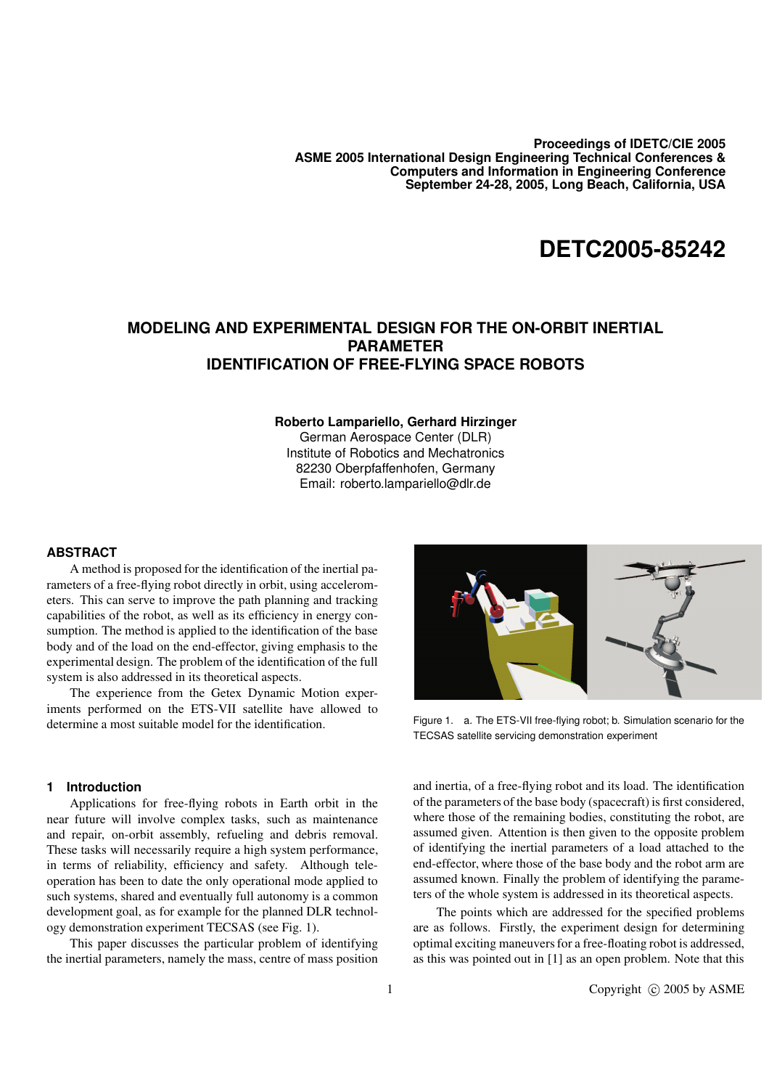**Proceedings of IDETC/CIE 2005 ASME 2005 International Design Engineering Technical Conferences & Computers and Information in Engineering Conference September 24-28, 2005, Long Beach, California, USA**

# **DETC2005-85242**

## **MODELING AND EXPERIMENTAL DESIGN FOR THE ON-ORBIT INERTIAL PARAMETER IDENTIFICATION OF FREE-FLYING SPACE ROBOTS**

#### **Roberto Lampariello, Gerhard Hirzinger**

German Aerospace Center (DLR) Institute of Robotics and Mechatronics 82230 Oberpfaffenhofen, Germany Email: roberto.lampariello@dlr.de

### **ABSTRACT**

A method is proposed for the identification of the inertial parameters of a free-flying robot directly in orbit, using accelerometers. This can serve to improve the path planning and tracking capabilities of the robot, as well as its efficiency in energy consumption. The method is applied to the identification of the base body and of the load on the end-effector, giving emphasis to the experimental design. The problem of the identification of the full system is also addressed in its theoretical aspects.

The experience from the Getex Dynamic Motion experiments performed on the ETS-VII satellite have allowed to determine a most suitable model for the identification.

## **1 Introduction**

Applications for free-flying robots in Earth orbit in the near future will involve complex tasks, such as maintenance and repair, on-orbit assembly, refueling and debris removal. These tasks will necessarily require a high system performance, in terms of reliability, efficiency and safety. Although teleoperation has been to date the only operational mode applied to such systems, shared and eventually full autonomy is a common development goal, as for example for the planned DLR technology demonstration experiment TECSAS (see Fig. 1).

This paper discusses the particular problem of identifying the inertial parameters, namely the mass, centre of mass position



Figure 1. a. The ETS-VII free-flying robot; b. Simulation scenario for the TECSAS satellite servicing demonstration experiment

and inertia, of a free-flying robot and its load. The identification of the parameters of the base body (spacecraft) is first considered, where those of the remaining bodies, constituting the robot, are assumed given. Attention is then given to the opposite problem of identifying the inertial parameters of a load attached to the end-effector, where those of the base body and the robot arm are assumed known. Finally the problem of identifying the parameters of the whole system is addressed in its theoretical aspects.

The points which are addressed for the specified problems are as follows. Firstly, the experiment design for determining optimal exciting maneuversfor a free-floating robot is addressed, as this was pointed out in [1] as an open problem. Note that this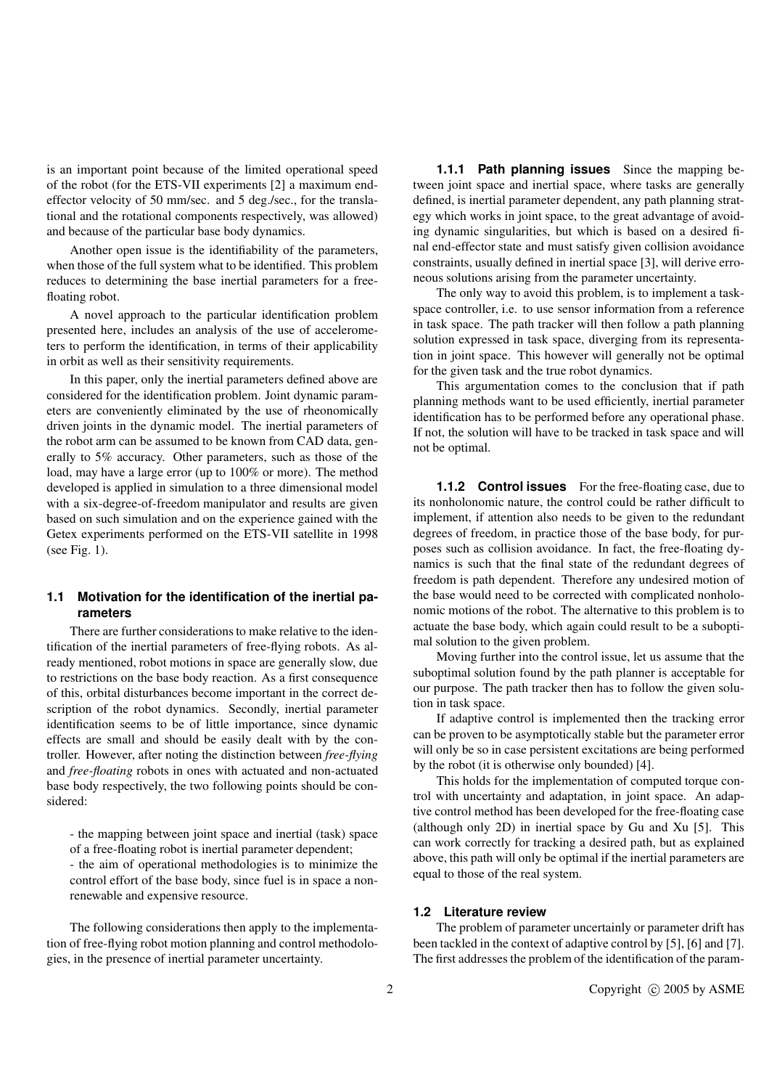is an important point because of the limited operational speed of the robot (for the ETS-VII experiments [2] a maximum endeffector velocity of 50 mm/sec. and 5 deg./sec., for the translational and the rotational components respectively, was allowed) and because of the particular base body dynamics.

Another open issue is the identifiability of the parameters, when those of the full system what to be identified. This problem reduces to determining the base inertial parameters for a freefloating robot.

A novel approach to the particular identification problem presented here, includes an analysis of the use of accelerometers to perform the identification, in terms of their applicability in orbit as well as their sensitivity requirements.

In this paper, only the inertial parameters defined above are considered for the identification problem. Joint dynamic parameters are conveniently eliminated by the use of rheonomically driven joints in the dynamic model. The inertial parameters of the robot arm can be assumed to be known from CAD data, generally to 5% accuracy. Other parameters, such as those of the load, may have a large error (up to 100% or more). The method developed is applied in simulation to a three dimensional model with a six-degree-of-freedom manipulator and results are given based on such simulation and on the experience gained with the Getex experiments performed on the ETS-VII satellite in 1998 (see Fig. 1).

## **1.1 Motivation for the identification of the inertial parameters**

There are further considerations to make relative to the identification of the inertial parameters of free-flying robots. As already mentioned, robot motions in space are generally slow, due to restrictions on the base body reaction. As a first consequence of this, orbital disturbances become important in the correct description of the robot dynamics. Secondly, inertial parameter identification seems to be of little importance, since dynamic effects are small and should be easily dealt with by the controller. However, after noting the distinction between *free-flying* and *free-floating* robots in ones with actuated and non-actuated base body respectively, the two following points should be considered:

- the mapping between joint space and inertial (task) space of a free-floating robot is inertial parameter dependent;

- the aim of operational methodologies is to minimize the control effort of the base body, since fuel is in space a nonrenewable and expensive resource.

The following considerations then apply to the implementation of free-flying robot motion planning and control methodologies, in the presence of inertial parameter uncertainty.

**1.1.1 Path planning issues** Since the mapping between joint space and inertial space, where tasks are generally defined, is inertial parameter dependent, any path planning strategy which works in joint space, to the great advantage of avoiding dynamic singularities, but which is based on a desired final end-effector state and must satisfy given collision avoidance constraints, usually defined in inertial space [3], will derive erroneous solutions arising from the parameter uncertainty.

The only way to avoid this problem, is to implement a taskspace controller, i.e. to use sensor information from a reference in task space. The path tracker will then follow a path planning solution expressed in task space, diverging from its representation in joint space. This however will generally not be optimal for the given task and the true robot dynamics.

This argumentation comes to the conclusion that if path planning methods want to be used efficiently, inertial parameter identification has to be performed before any operational phase. If not, the solution will have to be tracked in task space and will not be optimal.

**1.1.2 Control issues** For the free-floating case, due to its nonholonomic nature, the control could be rather difficult to implement, if attention also needs to be given to the redundant degrees of freedom, in practice those of the base body, for purposes such as collision avoidance. In fact, the free-floating dynamics is such that the final state of the redundant degrees of freedom is path dependent. Therefore any undesired motion of the base would need to be corrected with complicated nonholonomic motions of the robot. The alternative to this problem is to actuate the base body, which again could result to be a suboptimal solution to the given problem.

Moving further into the control issue, let us assume that the suboptimal solution found by the path planner is acceptable for our purpose. The path tracker then has to follow the given solution in task space.

If adaptive control is implemented then the tracking error can be proven to be asymptotically stable but the parameter error will only be so in case persistent excitations are being performed by the robot (it is otherwise only bounded) [4].

This holds for the implementation of computed torque control with uncertainty and adaptation, in joint space. An adaptive control method has been developed for the free-floating case (although only 2D) in inertial space by Gu and Xu [5]. This can work correctly for tracking a desired path, but as explained above, this path will only be optimal if the inertial parameters are equal to those of the real system.

## **1.2 Literature review**

The problem of parameter uncertainly or parameter drift has been tackled in the context of adaptive control by [5], [6] and [7]. The first addresses the problem of the identification of the param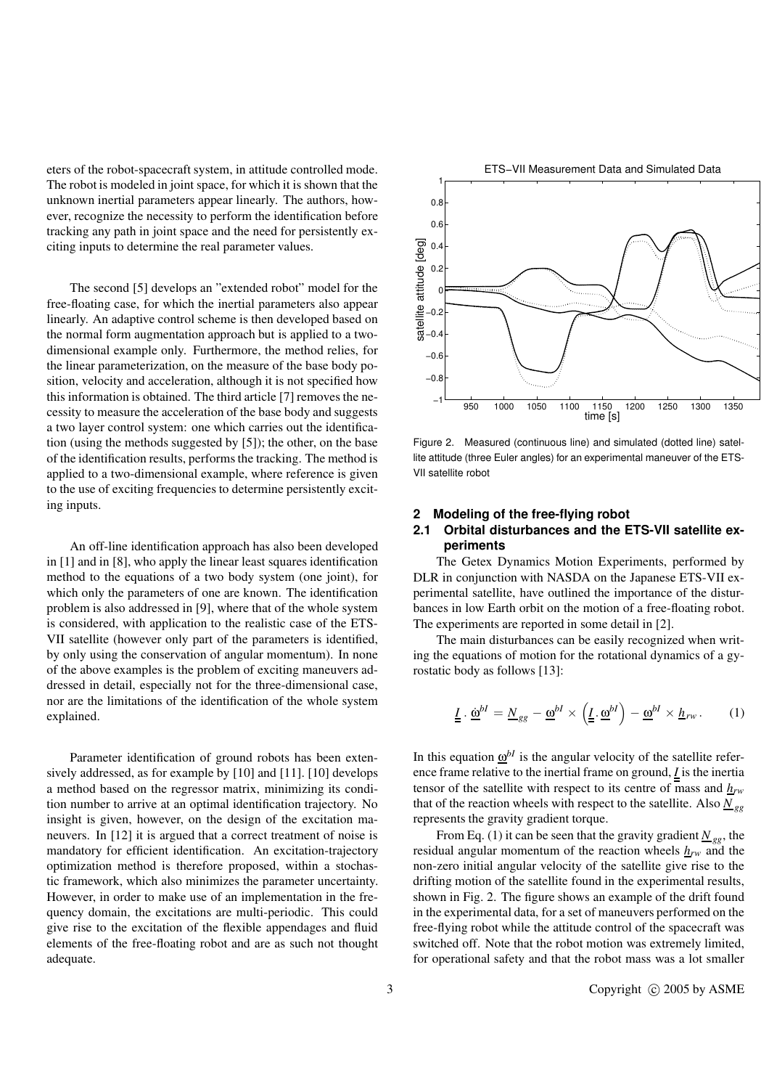eters of the robot-spacecraft system, in attitude controlled mode. The robot is modeled in joint space, for which it is shown that the unknown inertial parameters appear linearly. The authors, however, recognize the necessity to perform the identification before tracking any path in joint space and the need for persistently exciting inputs to determine the real parameter values.

The second [5] develops an "extended robot" model for the free-floating case, for which the inertial parameters also appear linearly. An adaptive control scheme is then developed based on the normal form augmentation approach but is applied to a twodimensional example only. Furthermore, the method relies, for the linear parameterization, on the measure of the base body position, velocity and acceleration, although it is not specified how this information is obtained. The third article [7] removes the necessity to measure the acceleration of the base body and suggests a two layer control system: one which carries out the identification (using the methods suggested by [5]); the other, on the base of the identification results, performs the tracking. The method is applied to a two-dimensional example, where reference is given to the use of exciting frequencies to determine persistently exciting inputs.

An off-line identification approach has also been developed in [1] and in [8], who apply the linear least squares identification method to the equations of a two body system (one joint), for which only the parameters of one are known. The identification problem is also addressed in [9], where that of the whole system is considered, with application to the realistic case of the ETS-VII satellite (however only part of the parameters is identified, by only using the conservation of angular momentum). In none of the above examples is the problem of exciting maneuvers addressed in detail, especially not for the three-dimensional case, nor are the limitations of the identification of the whole system explained.

Parameter identification of ground robots has been extensively addressed, as for example by [10] and [11]. [10] develops a method based on the regressor matrix, minimizing its condition number to arrive at an optimal identification trajectory. No insight is given, however, on the design of the excitation maneuvers. In [12] it is argued that a correct treatment of noise is mandatory for efficient identification. An excitation-trajectory optimization method is therefore proposed, within a stochastic framework, which also minimizes the parameter uncertainty. However, in order to make use of an implementation in the frequency domain, the excitations are multi-periodic. This could give rise to the excitation of the flexible appendages and fluid elements of the free-floating robot and are as such not thought adequate.



Figure 2. Measured (continuous line) and simulated (dotted line) satellite attitude (three Euler angles) for an experimental maneuver of the ETS-VII satellite robot

#### **2 Modeling of the free-flying robot**

## **2.1 Orbital disturbances and the ETS-VII satellite experiments**

The Getex Dynamics Motion Experiments, performed by DLR in conjunction with NASDA on the Japanese ETS-VII experimental satellite, have outlined the importance of the disturbances in low Earth orbit on the motion of a free-floating robot. The experiments are reported in some detail in [2].

The main disturbances can be easily recognized when writing the equations of motion for the rotational dynamics of a gyrostatic body as follows [13]:

$$
\underline{\underline{I}} \cdot \underline{\underline{\omega}}^{bI} = \underline{N}_{gg} - \underline{\underline{\omega}}^{bI} \times \left( \underline{\underline{I}} \cdot \underline{\underline{\omega}}^{bI} \right) - \underline{\underline{\omega}}^{bI} \times \underline{h}_{rw} \,. \tag{1}
$$

In this equation  $\underline{\omega}^{bI}$  is the angular velocity of the satellite reference frame relative to the inertial frame on ground, *I* is the inertia tensor of the satellite with respect to its centre of mass and *hrw* that of the reaction wheels with respect to the satellite. Also  $N_{ge}$ represents the gravity gradient torque.

From Eq. (1) it can be seen that the gravity gradient  $N_{gg}$ , the residual angular momentum of the reaction wheels  $h_{rw}$  and the non-zero initial angular velocity of the satellite give rise to the drifting motion of the satellite found in the experimental results, shown in Fig. 2. The figure shows an example of the drift found in the experimental data, for a set of maneuvers performed on the free-flying robot while the attitude control of the spacecraft was switched off. Note that the robot motion was extremely limited, for operational safety and that the robot mass was a lot smaller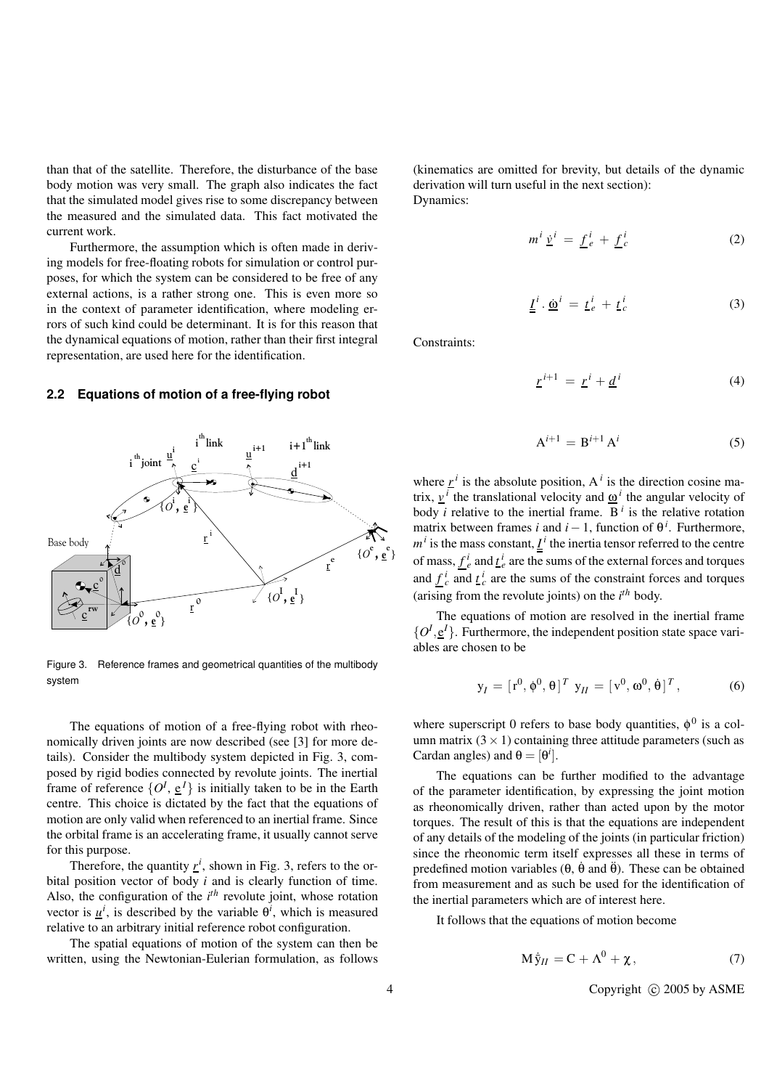than that of the satellite. Therefore, the disturbance of the base body motion was very small. The graph also indicates the fact that the simulated model gives rise to some discrepancy between the measured and the simulated data. This fact motivated the current work.

Furthermore, the assumption which is often made in deriving models for free-floating robots for simulation or control purposes, for which the system can be considered to be free of any external actions, is a rather strong one. This is even more so in the context of parameter identification, where modeling errors of such kind could be determinant. It is for this reason that the dynamical equations of motion, rather than their first integral representation, are used here for the identification.

#### **2.2 Equations of motion of a free-flying robot**



Figure 3. Reference frames and geometrical quantities of the multibody system

The equations of motion of a free-flying robot with rheonomically driven joints are now described (see [3] for more details). Consider the multibody system depicted in Fig. 3, composed by rigid bodies connected by revolute joints. The inertial frame of reference  $\{O^I, \underline{e}^I\}$  is initially taken to be in the Earth centre. This choice is dictated by the fact that the equations of motion are only valid when referenced to an inertial frame. Since the orbital frame is an accelerating frame, it usually cannot serve for this purpose.

Therefore, the quantity  $r^i$ , shown in Fig. 3, refers to the orbital position vector of body *i* and is clearly function of time. Also, the configuration of the  $i^{th}$  revolute joint, whose rotation vector is  $\underline{u}^i$ , is described by the variable  $\theta^i$ , which is measured relative to an arbitrary initial reference robot configuration.

The spatial equations of motion of the system can then be written, using the Newtonian-Eulerian formulation, as follows (kinematics are omitted for brevity, but details of the dynamic derivation will turn useful in the next section): Dynamics:

$$
m^i \underline{v}^i = \underline{f}^i_e + \underline{f}^i_c \tag{2}
$$

$$
\underline{\underline{I}}^i \cdot \underline{\dot{\omega}}^i = \underline{t}^i_e + \underline{t}^i_c \tag{3}
$$

Constraints:

$$
\underline{r}^{i+1} = \underline{r}^i + \underline{d}^i \tag{4}
$$

$$
\mathbf{A}^{i+1} = \mathbf{B}^{i+1} \mathbf{A}^i \tag{5}
$$

where  $r^i$  is the absolute position,  $A^i$  is the direction cosine matrix,  $\underline{v}^i$  the translational velocity and  $\underline{\omega}^i$  the angular velocity of body *i* relative to the inertial frame. B<sup>*i*</sup> is the relative rotation matrix between frames *i* and  $i - 1$ , function of  $\theta^{i}$ . Furthermore,  $m<sup>i</sup>$  is the mass constant,  $I<sup>i</sup>$  the inertia tensor referred to the centre of mass,  $f^i_e$  and  $f^i_e$  are the sums of the external forces and torques and  $f_c^i$  and  $f_c^i$  are the sums of the constraint forces and torques (arising from the revolute joints) on the *i th* body.

The equations of motion are resolved in the inertial frame  $\{O^I, \underline{e}^I\}$ . Furthermore, the independent position state space variables are chosen to be

$$
\mathbf{y}_I = [\mathbf{r}^0, \phi^0, \theta]^T \mathbf{y}_{II} = [\mathbf{v}^0, \mathbf{\omega}^0, \dot{\theta}]^T, \tag{6}
$$

where superscript 0 refers to base body quantities,  $\phi^0$  is a column matrix  $(3 \times 1)$  containing three attitude parameters (such as Cardan angles) and  $\theta = [\theta^i]$ .

The equations can be further modified to the advantage of the parameter identification, by expressing the joint motion as rheonomically driven, rather than acted upon by the motor torques. The result of this is that the equations are independent of any details of the modeling of the joints (in particular friction) since the rheonomic term itself expresses all these in terms of predefined motion variables ( $\theta$ ,  $\dot{\theta}$  and  $\ddot{\theta}$ ). These can be obtained from measurement and as such be used for the identification of the inertial parameters which are of interest here.

It follows that the equations of motion become

$$
M\dot{\bar{y}}_{II} = C + \Lambda^0 + \chi, \qquad (7)
$$

4 Copyright © 2005 by ASME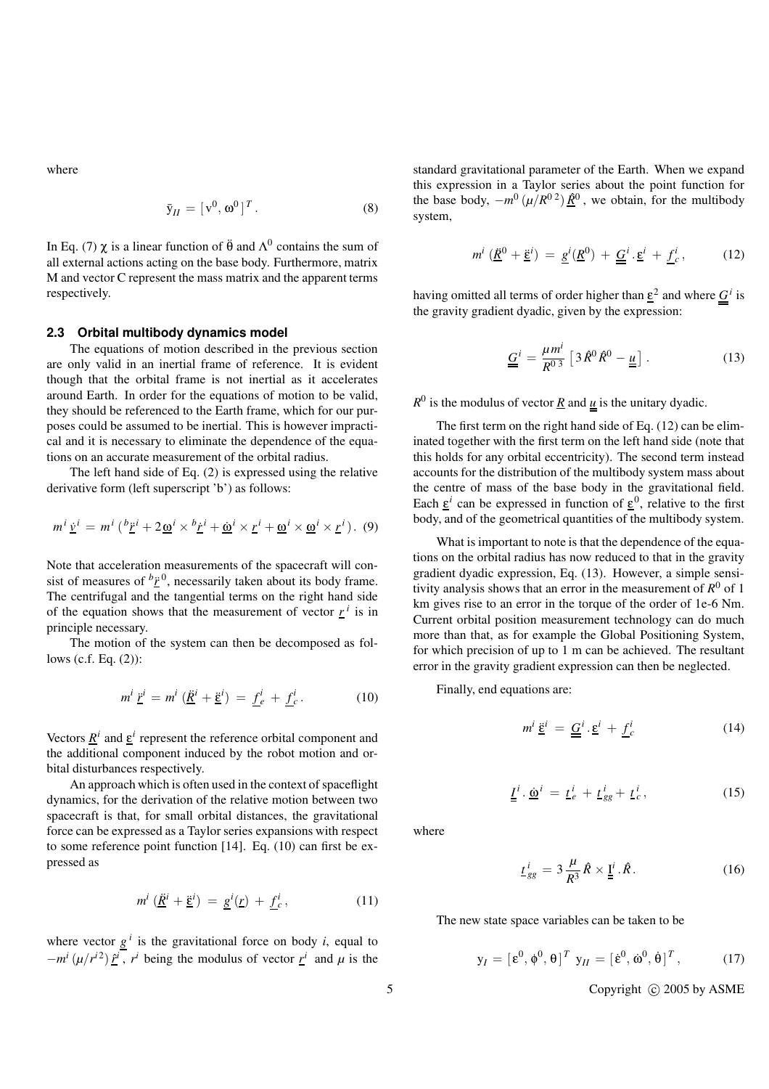where

$$
\bar{\mathbf{y}}_H = [\mathbf{v}^0, \mathbf{\omega}^0]^T. \tag{8}
$$

In Eq. (7)  $\chi$  is a linear function of  $\ddot{\theta}$  and  $\Lambda^0$  contains the sum of all external actions acting on the base body. Furthermore, matrix M and vector C represent the mass matrix and the apparent terms respectively.

#### **2.3 Orbital multibody dynamics model**

The equations of motion described in the previous section are only valid in an inertial frame of reference. It is evident though that the orbital frame is not inertial as it accelerates around Earth. In order for the equations of motion to be valid, they should be referenced to the Earth frame, which for our purposes could be assumed to be inertial. This is however impractical and it is necessary to eliminate the dependence of the equations on an accurate measurement of the orbital radius.

The left hand side of Eq. (2) is expressed using the relative derivative form (left superscript 'b') as follows:

$$
m^{i} \underline{\mathbf{v}}^{i} = m^{i} \left( \frac{b_{\underline{r}}}{i} + 2 \underline{\omega}^{i} \times \frac{b_{\underline{r}}}{i} + \underline{\omega}^{i} \times \underline{\mathbf{r}}^{i} + \underline{\omega}^{i} \times \underline{\omega}^{i} \times \underline{\mathbf{r}}^{i} \right). (9)
$$

Note that acceleration measurements of the spacecraft will consist of measures of  $b\ddot{\textbf{r}}$ <sup>0</sup>, necessarily taken about its body frame. The centrifugal and the tangential terms on the right hand side of the equation shows that the measurement of vector  $r^i$  is in principle necessary.

The motion of the system can then be decomposed as follows (c.f. Eq. (2)):

$$
m^i \underline{\ddot{r}}^i = m^i \left( \underline{\ddot{R}}^i + \underline{\ddot{\epsilon}}^i \right) = \underline{f}^i_e + \underline{f}^i_c. \tag{10}
$$

Vectors  $\underline{R}^i$  and  $\underline{\varepsilon}^i$  represent the reference orbital component and the additional component induced by the robot motion and orbital disturbances respectively.

An approach which is often used in the context of spaceflight dynamics, for the derivation of the relative motion between two spacecraft is that, for small orbital distances, the gravitational force can be expressed as a Taylor series expansions with respect to some reference point function [14]. Eq. (10) can first be expressed as

$$
m^i \left(\underline{\ddot{R}}^i + \underline{\ddot{\epsilon}}^i\right) = \underline{g}^i(\underline{r}) + \underline{f}^i_c,\tag{11}
$$

where vector  $g^i$  is the gravitational force on body *i*, equal to  $-m^{i}(\mu/r^{i})\hat{r}^{i}$ , *r*<sup>*i*</sup> being the modulus of vector <u>*r*<sup>*i*</sup></u> and  $\mu$  is the standard gravitational parameter of the Earth. When we expand this expression in a Taylor series about the point function for the base body,  $-m^0(\mu/R^{0.2})\hat{R}^0$ , we obtain, for the multibody system,

$$
m^i \left(\underline{\ddot{R}}^0 + \underline{\ddot{\epsilon}}^i\right) = \underline{g}^i \left(\underline{R}^0\right) + \underline{\underline{G}}^i \cdot \underline{\epsilon}^i + \underline{f}^i_c, \tag{12}
$$

having omitted all terms of order higher than  $\underline{\varepsilon}^2$  and where  $\underline{G}^i$  is the gravity gradient dyadic, given by the expression:

$$
\underline{\underline{G}}^i = \frac{\mu m^i}{R^0} \left[ 3 \hat{R}^0 \hat{R}^0 - \underline{\underline{u}} \right]. \tag{13}
$$

 $R^0$  is the modulus of vector <u>R</u> and <u>u</u> is the unitary dyadic.

The first term on the right hand side of Eq. (12) can be eliminated together with the first term on the left hand side (note that this holds for any orbital eccentricity). The second term instead accounts for the distribution of the multibody system mass about the centre of mass of the base body in the gravitational field. Each  $\underline{\varepsilon}^i$  can be expressed in function of  $\underline{\varepsilon}^0$ , relative to the first body, and of the geometrical quantities of the multibody system.

What is important to note is that the dependence of the equations on the orbital radius has now reduced to that in the gravity gradient dyadic expression, Eq. (13). However, a simple sensitivity analysis shows that an error in the measurement of  $R^0$  of 1 km gives rise to an error in the torque of the order of 1e-6 Nm. Current orbital position measurement technology can do much more than that, as for example the Global Positioning System, for which precision of up to 1 m can be achieved. The resultant error in the gravity gradient expression can then be neglected.

Finally, end equations are:

$$
m^i \underline{\tilde{\epsilon}}^i = \underline{\underline{G}}^i \cdot \underline{\epsilon}^i + \underline{f}^i_c \tag{14}
$$

$$
\underline{\underline{I}}^i \cdot \underline{\dot{\omega}}^i = \underline{t}^i_e + \underline{t}^i_{gg} + \underline{t}^i_c, \qquad (15)
$$

where

$$
\underline{t}_{gg}^i = 3 \frac{\mu}{R^3} \hat{R} \times \underline{\underline{\mathbf{I}}^i} . \hat{R} . \tag{16}
$$

The new state space variables can be taken to be

$$
\mathbf{y}_I = [\mathbf{\varepsilon}^0, \mathbf{\phi}^0, \mathbf{\theta}]^T \mathbf{y}_{II} = [\mathbf{\varepsilon}^0, \dot{\mathbf{\omega}}^0, \dot{\mathbf{\theta}}]^T, \quad (17)
$$

5 Copyright C 2005 by ASME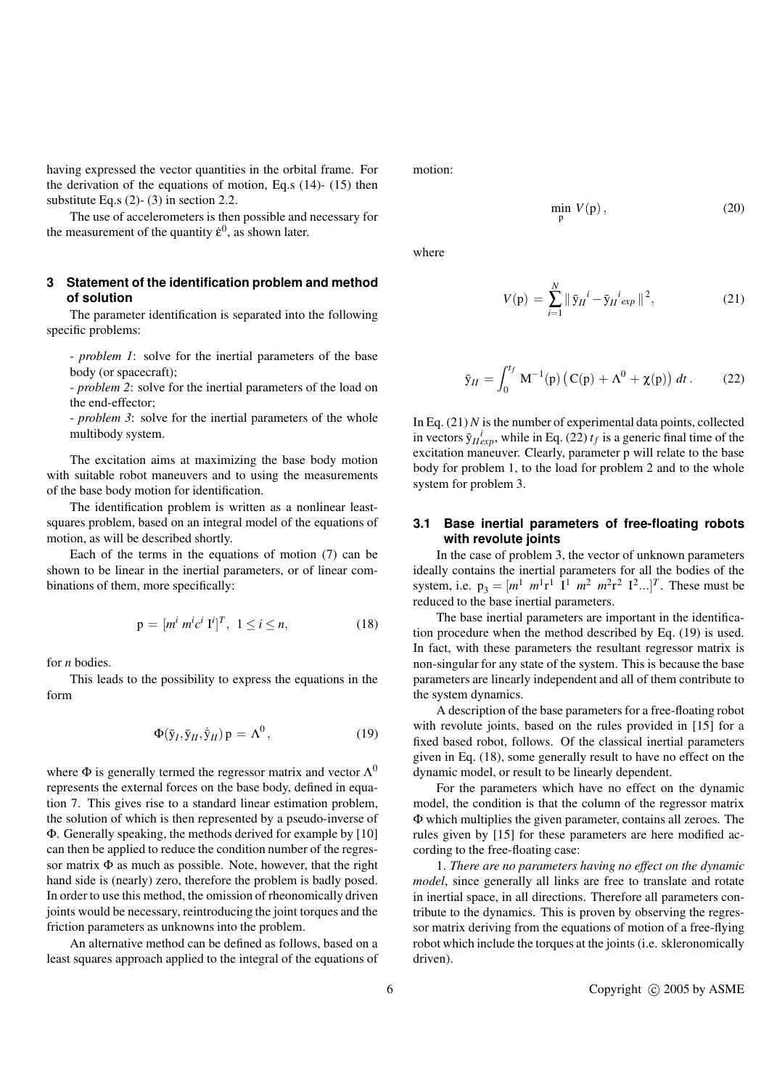having expressed the vector quantities in the orbital frame. For the derivation of the equations of motion, Eq.s (14)- (15) then substitute Eq.s (2)- (3) in section 2.2.

The use of accelerometers is then possible and necessary for the measurement of the quantity  $\dot{\epsilon}^0$ , as shown later.

## **3 Statement of the identification problem and method of solution**

The parameter identification is separated into the following specific problems:

- *problem 1*: solve for the inertial parameters of the base body (or spacecraft);

- *problem 2*: solve for the inertial parameters of the load on the end-effector;

- *problem 3*: solve for the inertial parameters of the whole multibody system.

The excitation aims at maximizing the base body motion with suitable robot maneuvers and to using the measurements of the base body motion for identification.

The identification problem is written as a nonlinear leastsquares problem, based on an integral model of the equations of motion, as will be described shortly.

Each of the terms in the equations of motion (7) can be shown to be linear in the inertial parameters, or of linear combinations of them, more specifically:

$$
p = [m^i \ m^i c^i \ I^i]^T, \ 1 \le i \le n,
$$
 (18)

for *n* bodies.

This leads to the possibility to express the equations in the form

$$
\Phi(\bar{y}_I, \bar{y}_{II}, \dot{\bar{y}}_{II}) p = \Lambda^0, \qquad (19)
$$

where  $\Phi$  is generally termed the regressor matrix and vector  $\Lambda^0$ represents the external forces on the base body, defined in equation 7. This gives rise to a standard linear estimation problem, the solution of which is then represented by a pseudo-inverse of Φ. Generally speaking, the methods derived for example by [10] can then be applied to reduce the condition number of the regressor matrix  $\Phi$  as much as possible. Note, however, that the right hand side is (nearly) zero, therefore the problem is badly posed. In order to use this method, the omission of rheonomically driven joints would be necessary, reintroducing the joint torques and the friction parameters as unknowns into the problem.

An alternative method can be defined as follows, based on a least squares approach applied to the integral of the equations of motion:

$$
\min_{\mathbf{p}} V(\mathbf{p}),\tag{20}
$$

where

$$
V(p) = \sum_{i=1}^{N} \|\bar{y}_{II}^{i} - \bar{y}_{II}^{i} \exp \|^{2},
$$
 (21)

$$
\bar{y}_{II} = \int_0^{t_f} M^{-1}(p) \left( C(p) + \Lambda^0 + \chi(p) \right) dt. \tag{22}
$$

In Eq. (21) *N* is the number of experimental data points, collected in vectors  $\bar{y}_{II}^{i}_{exp}$ , while in Eq. (22)  $t_f$  is a generic final time of the excitation maneuver. Clearly, parameter p will relate to the base body for problem 1, to the load for problem 2 and to the whole system for problem 3.

## **3.1 Base inertial parameters of free-floating robots with revolute joints**

In the case of problem 3, the vector of unknown parameters ideally contains the inertial parameters for all the bodies of the system, i.e.  $p_3 = [m^1 \; m^1r^1 \; 1^1 \; m^2 \; m^2r^2 \; 1^2...]^T$ . These must be reduced to the base inertial parameters.

The base inertial parameters are important in the identification procedure when the method described by Eq. (19) is used. In fact, with these parameters the resultant regressor matrix is non-singular for any state of the system. This is because the base parameters are linearly independent and all of them contribute to the system dynamics.

A description of the base parameters for a free-floating robot with revolute joints, based on the rules provided in [15] for a fixed based robot, follows. Of the classical inertial parameters given in Eq. (18), some generally result to have no effect on the dynamic model, or result to be linearly dependent.

For the parameters which have no effect on the dynamic model, the condition is that the column of the regressor matrix Φ which multiplies the given parameter, contains all zeroes. The rules given by [15] for these parameters are here modified according to the free-floating case:

1. *There are no parameters having no effect on the dynamic model*, since generally all links are free to translate and rotate in inertial space, in all directions. Therefore all parameters contribute to the dynamics. This is proven by observing the regressor matrix deriving from the equations of motion of a free-flying robot which include the torques at the joints (i.e. skleronomically driven).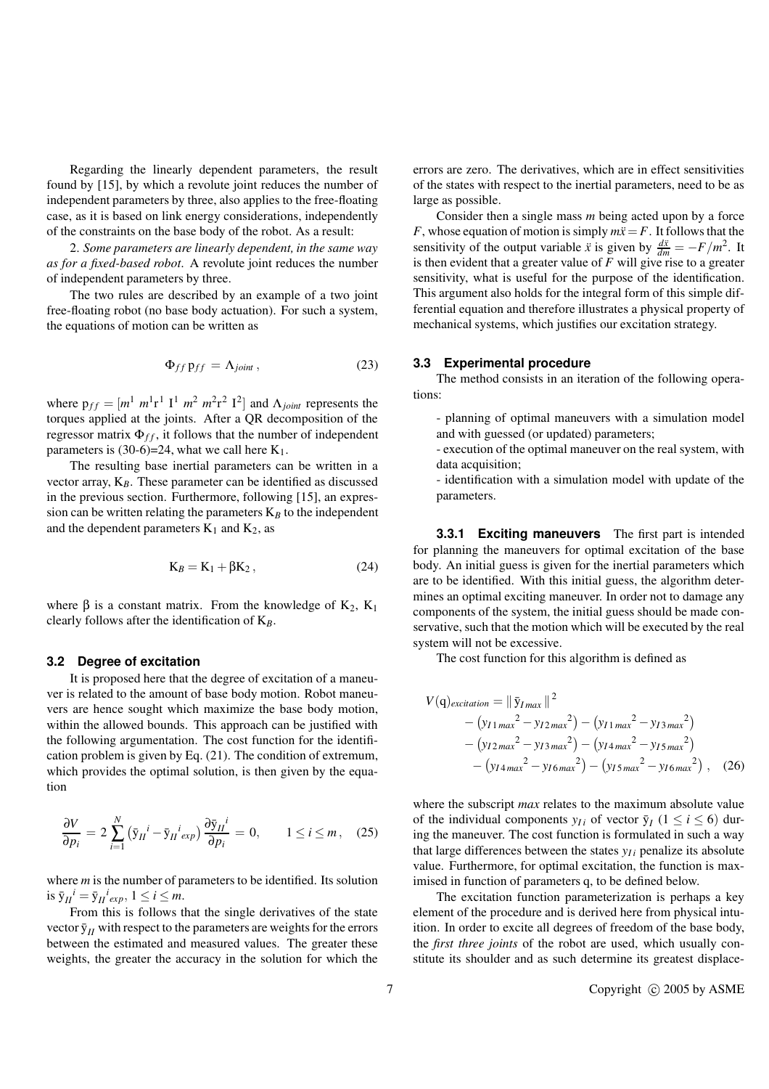Regarding the linearly dependent parameters, the result found by [15], by which a revolute joint reduces the number of independent parameters by three, also applies to the free-floating case, as it is based on link energy considerations, independently of the constraints on the base body of the robot. As a result:

2. *Some parameters are linearly dependent, in the same way as for a fixed-based robot*. A revolute joint reduces the number of independent parameters by three.

The two rules are described by an example of a two joint free-floating robot (no base body actuation). For such a system, the equations of motion can be written as

$$
\Phi_{ff} \, \mathbf{p}_{ff} = \Lambda_{joint} \,, \tag{23}
$$

where  $p_{ff} = [m^1 \; m^1 \; \text{r}^1 \; \text{I}^1 \; m^2 \; m^2 \; \text{r}^2 \; \text{I}^2]$  and  $\Lambda_{joint}$  represents the torques applied at the joints. After a QR decomposition of the regressor matrix  $\Phi_{ff}$ , it follows that the number of independent parameters is  $(30-6)=24$ , what we call here  $K_1$ .

The resulting base inertial parameters can be written in a vector array,  $K_B$ . These parameter can be identified as discussed in the previous section. Furthermore, following [15], an expression can be written relating the parameters  $K_B$  to the independent and the dependent parameters  $K_1$  and  $K_2$ , as

$$
K_B = K_1 + \beta K_2, \qquad (24)
$$

where  $\beta$  is a constant matrix. From the knowledge of K<sub>2</sub>, K<sub>1</sub> clearly follows after the identification of K*B*.

## **3.2 Degree of excitation**

It is proposed here that the degree of excitation of a maneuver is related to the amount of base body motion. Robot maneuvers are hence sought which maximize the base body motion, within the allowed bounds. This approach can be justified with the following argumentation. The cost function for the identification problem is given by Eq. (21). The condition of extremum, which provides the optimal solution, is then given by the equation

$$
\frac{\partial V}{\partial p_i} = 2 \sum_{i=1}^N (\bar{y}_{II}^i - \bar{y}_{II}^i{}_{exp}) \frac{\partial \bar{y}_{II}^i}{\partial p_i} = 0, \qquad 1 \le i \le m, \quad (25)
$$

where *m* is the number of parameters to be identified. Its solution is  $\bar{y}_{II}^i = \bar{y}_{II}^i{}_{exp}, 1 \le i \le m$ .

From this is follows that the single derivatives of the state vector  $\bar{y}_{II}$  with respect to the parameters are weights for the errors between the estimated and measured values. The greater these weights, the greater the accuracy in the solution for which the errors are zero. The derivatives, which are in effect sensitivities of the states with respect to the inertial parameters, need to be as large as possible.

Consider then a single mass *m* being acted upon by a force *F*, whose equation of motion is simply  $m\ddot{x} = F$ . It follows that the sensitivity of the output variable *x* is given by  $\frac{dx}{dm} = -F/m^2$ . It is then evident that a greater value of  $F$  will give rise to a greater sensitivity, what is useful for the purpose of the identification. This argument also holds for the integral form of this simple differential equation and therefore illustrates a physical property of mechanical systems, which justifies our excitation strategy.

## **3.3 Experimental procedure**

The method consists in an iteration of the following operations:

- planning of optimal maneuvers with a simulation model and with guessed (or updated) parameters;

- execution of the optimal maneuver on the real system, with data acquisition:

- identification with a simulation model with update of the parameters.

**3.3.1 Exciting maneuvers** The first part is intended for planning the maneuvers for optimal excitation of the base body. An initial guess is given for the inertial parameters which are to be identified. With this initial guess, the algorithm determines an optimal exciting maneuver. In order not to damage any components of the system, the initial guess should be made conservative, such that the motion which will be executed by the real system will not be excessive.

The cost function for this algorithm is defined as

$$
V(q)_{excitation} = || \bar{y}_{Imax} ||^2
$$
  
-(y<sub>I1 max</sub><sup>2</sup> - y<sub>I2 max</sub><sup>2</sup>) - (y<sub>I1 max</sub><sup>2</sup> - y<sub>I3 max</sub><sup>2</sup>)  
-(y<sub>I2 max</sub><sup>2</sup> - y<sub>I3 max</sub><sup>2</sup>) - (y<sub>I4 max</sub><sup>2</sup> - y<sub>I5 max</sub><sup>2</sup>)  
-(y<sub>I4 max</sub><sup>2</sup> - y<sub>I6 max</sub><sup>2</sup>) - (y<sub>I5 max</sub><sup>2</sup> - y<sub>I6 max</sub><sup>2</sup>) , (26)

where the subscript *max* relates to the maximum absolute value of the individual components  $y_{Ii}$  of vector  $\bar{y}_I$  ( $1 \le i \le 6$ ) during the maneuver. The cost function is formulated in such a way that large differences between the states  $y_{I}$  penalize its absolute value. Furthermore, for optimal excitation, the function is maximised in function of parameters q, to be defined below.

The excitation function parameterization is perhaps a key element of the procedure and is derived here from physical intuition. In order to excite all degrees of freedom of the base body, the *first three joints* of the robot are used, which usually constitute its shoulder and as such determine its greatest displace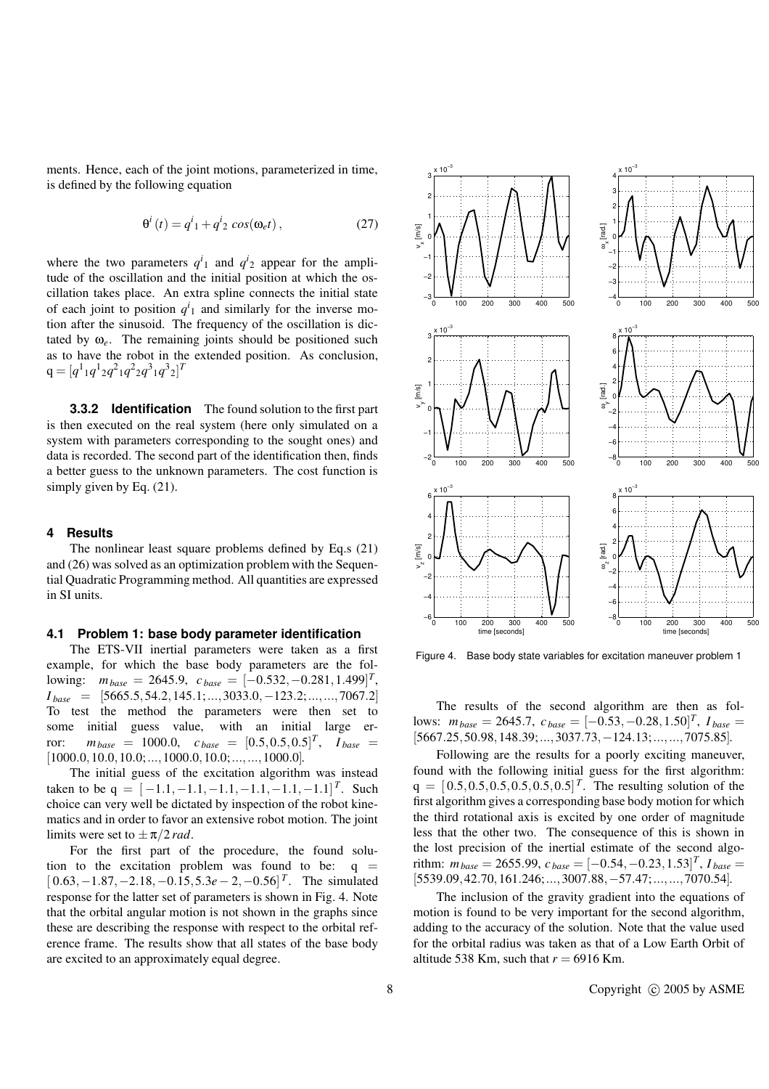ments. Hence, each of the joint motions, parameterized in time, is defined by the following equation

$$
\Theta^{i}(t) = q^{i}{}_{1} + q^{i}{}_{2} \cos(\omega_{e} t), \qquad (27)
$$

where the two parameters  $q^{i_1}$  and  $q^{i_2}$  appear for the amplitude of the oscillation and the initial position at which the oscillation takes place. An extra spline connects the initial state of each joint to position  $q^i_1$  and similarly for the inverse motion after the sinusoid. The frequency of the oscillation is dictated by  $\omega_e$ . The remaining joints should be positioned such as to have the robot in the extended position. As conclusion,  $q = [q^1_1 q^1_2 q^2_1 q^2_2 q^3_1 q^3_2]^T$ 

**3.3.2 Identification** The found solution to the first part is then executed on the real system (here only simulated on a system with parameters corresponding to the sought ones) and data is recorded. The second part of the identification then, finds a better guess to the unknown parameters. The cost function is simply given by Eq.  $(21)$ .

### **4 Results**

The nonlinear least square problems defined by Eq.s (21) and (26) was solved as an optimization problem with the Sequential Quadratic Programming method. All quantities are expressed in SI units.

#### **4.1 Problem 1: base body parameter identification**

The ETS-VII inertial parameters were taken as a first example, for which the base body parameters are the fol- $1$   $\text{lowing:}$   $m_{base} = 2645.9$ ,  $c_{base} = [-0.532, -0.281, 1.499]^T$ , *I base* = [5665.5,54.2,145.1;...,3033.0,−123.2;...,...,7067.2] To test the method the parameters were then set to some initial guess value, with an initial large error:  $m_{base} = 1000.0, c_{base} = [0.5, 0.5, 0.5]^T, I_{base} =$  $[1000.0, 10.0, 10.0; \ldots, 1000.0, 10.0; \ldots, \ldots, 1000.0].$ 

The initial guess of the excitation algorithm was instead taken to be  $q = [-1.1, -1.1, -1.1, -1.1, -1.1, -1.1]^T$ . Such choice can very well be dictated by inspection of the robot kinematics and in order to favor an extensive robot motion. The joint limits were set to  $\pm \pi/2$  *rad*.

For the first part of the procedure, the found solution to the excitation problem was found to be:  $q =$ [ 0.63,−1.87,−2.18,−0.15,5.3*e*− 2,−0.56] *T* . The simulated response for the latter set of parameters is shown in Fig. 4. Note that the orbital angular motion is not shown in the graphs since these are describing the response with respect to the orbital reference frame. The results show that all states of the base body are excited to an approximately equal degree.



Figure 4. Base body state variables for excitation maneuver problem 1

The results of the second algorithm are then as fol- $100 \text{Ws}: \ m_{base} = 2645.7, \ c_{base} = [-0.53, -0.28, 1.50]^T, \ I_{base} =$ [5667.25,50.98,148.39;...,3037.73,−124.13;...,...,7075.85].

Following are the results for a poorly exciting maneuver, found with the following initial guess for the first algorithm:  $q = [0.5, 0.5, 0.5, 0.5, 0.5, 0.5]^T$ . The resulting solution of the first algorithm gives a corresponding base body motion for which the third rotational axis is excited by one order of magnitude less that the other two. The consequence of this is shown in the lost precision of the inertial estimate of the second algo $r$  *i*thm:  $m_{base} = 2655.99$ ,  $c_{base} = [-0.54, -0.23, 1.53]^T$ ,  $I_{base} =$ [5539.09,42.70,161.246;...,3007.88,−57.47;...,...,7070.54].

The inclusion of the gravity gradient into the equations of motion is found to be very important for the second algorithm, adding to the accuracy of the solution. Note that the value used for the orbital radius was taken as that of a Low Earth Orbit of altitude 538 Km, such that  $r = 6916$  Km.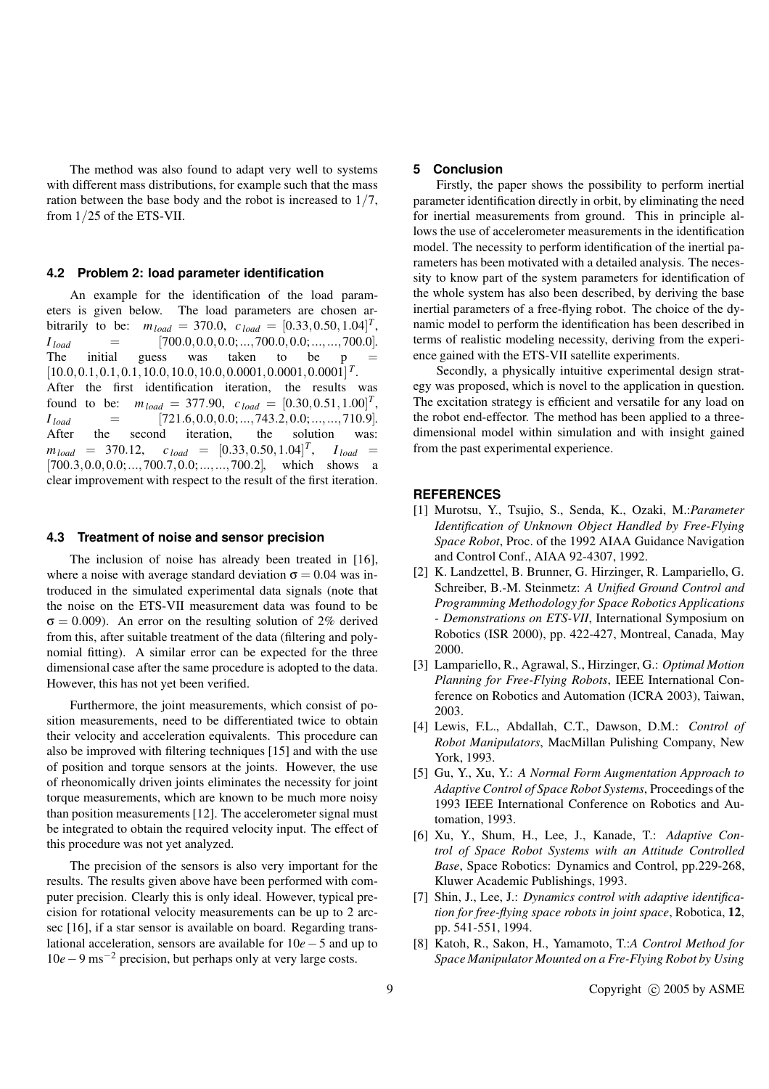The method was also found to adapt very well to systems with different mass distributions, for example such that the mass ration between the base body and the robot is increased to 1/7, from 1/25 of the ETS-VII.

#### **4.2 Problem 2: load parameter identification**

An example for the identification of the load parameters is given below. The load parameters are chosen arbitrarily to be:  $m_{load} = 370.0, c_{load} = [0.33, 0.50, 1.04]^T$ ,  $I_{load} = [700.0, 0.0, 0.0; ..., 700.0, 0.0; ..., ..., 700.0].$ The initial guess was taken to be p  $[10.0, 0.1, 0.1, 0.1, 10.0, 10.0, 10.0, 0.0001, 0.0001, 0.0001]$ <sup>T</sup>. After the first identification iteration, the results was found to be:  $m_{load} = 377.90, c_{load} = [0.30, 0.51, 1.00]^T$ ,  $I_{load} = [721.6, 0.0, 0.0; ..., 743.2, 0.0; ..., .710.9].$ After the second iteration, the solution was:  $m_{load}$  = 370.12,  $c_{load}$  =  $[0.33, 0.50, 1.04]^T$ ,  $I_{load}$  = [700.3,0.0,0.0;...,700.7,0.0;...,...,700.2], which shows a clear improvement with respect to the result of the first iteration.

#### **4.3 Treatment of noise and sensor precision**

The inclusion of noise has already been treated in [16], where a noise with average standard deviation  $\sigma = 0.04$  was introduced in the simulated experimental data signals (note that the noise on the ETS-VII measurement data was found to be  $\sigma = 0.009$ ). An error on the resulting solution of 2% derived from this, after suitable treatment of the data (filtering and polynomial fitting). A similar error can be expected for the three dimensional case after the same procedure is adopted to the data. However, this has not yet been verified.

Furthermore, the joint measurements, which consist of position measurements, need to be differentiated twice to obtain their velocity and acceleration equivalents. This procedure can also be improved with filtering techniques [15] and with the use of position and torque sensors at the joints. However, the use of rheonomically driven joints eliminates the necessity for joint torque measurements, which are known to be much more noisy than position measurements [12]. The accelerometer signal must be integrated to obtain the required velocity input. The effect of this procedure was not yet analyzed.

The precision of the sensors is also very important for the results. The results given above have been performed with computer precision. Clearly this is only ideal. However, typical precision for rotational velocity measurements can be up to 2 arcsec [16], if a star sensor is available on board. Regarding translational acceleration, sensors are available for 10*e*−5 and up to 10*e*−9 ms−<sup>2</sup> precision, but perhaps only at very large costs.

#### **5 Conclusion**

Firstly, the paper shows the possibility to perform inertial parameter identification directly in orbit, by eliminating the need for inertial measurements from ground. This in principle allows the use of accelerometer measurements in the identification model. The necessity to perform identification of the inertial parameters has been motivated with a detailed analysis. The necessity to know part of the system parameters for identification of the whole system has also been described, by deriving the base inertial parameters of a free-flying robot. The choice of the dynamic model to perform the identification has been described in terms of realistic modeling necessity, deriving from the experience gained with the ETS-VII satellite experiments.

Secondly, a physically intuitive experimental design strategy was proposed, which is novel to the application in question. The excitation strategy is efficient and versatile for any load on the robot end-effector. The method has been applied to a threedimensional model within simulation and with insight gained from the past experimental experience.

#### **REFERENCES**

- [1] Murotsu, Y., Tsujio, S., Senda, K., Ozaki, M.:*Parameter Identification of Unknown Object Handled by Free-Flying Space Robot*, Proc. of the 1992 AIAA Guidance Navigation and Control Conf., AIAA 92-4307, 1992.
- [2] K. Landzettel, B. Brunner, G. Hirzinger, R. Lampariello, G. Schreiber, B.-M. Steinmetz: *A Unified Ground Control and Programming Methodology for Space Robotics Applications - Demonstrations on ETS-VII*, International Symposium on Robotics (ISR 2000), pp. 422-427, Montreal, Canada, May 2000.
- [3] Lampariello, R., Agrawal, S., Hirzinger, G.: *Optimal Motion Planning for Free-Flying Robots*, IEEE International Conference on Robotics and Automation (ICRA 2003), Taiwan, 2003.
- [4] Lewis, F.L., Abdallah, C.T., Dawson, D.M.: *Control of Robot Manipulators*, MacMillan Pulishing Company, New York, 1993.
- [5] Gu, Y., Xu, Y.: *A Normal Form Augmentation Approach to Adaptive Control of Space Robot Systems*, Proceedings of the 1993 IEEE International Conference on Robotics and Automation, 1993.
- [6] Xu, Y., Shum, H., Lee, J., Kanade, T.: *Adaptive Control of Space Robot Systems with an Attitude Controlled Base*, Space Robotics: Dynamics and Control, pp.229-268, Kluwer Academic Publishings, 1993.
- [7] Shin, J., Lee, J.: *Dynamics control with adaptive identification for free-flying space robots in joint space*, Robotica, **12**, pp. 541-551, 1994.
- [8] Katoh, R., Sakon, H., Yamamoto, T.:*A Control Method for Space Manipulator Mounted on a Fre-Flying Robot by Using*